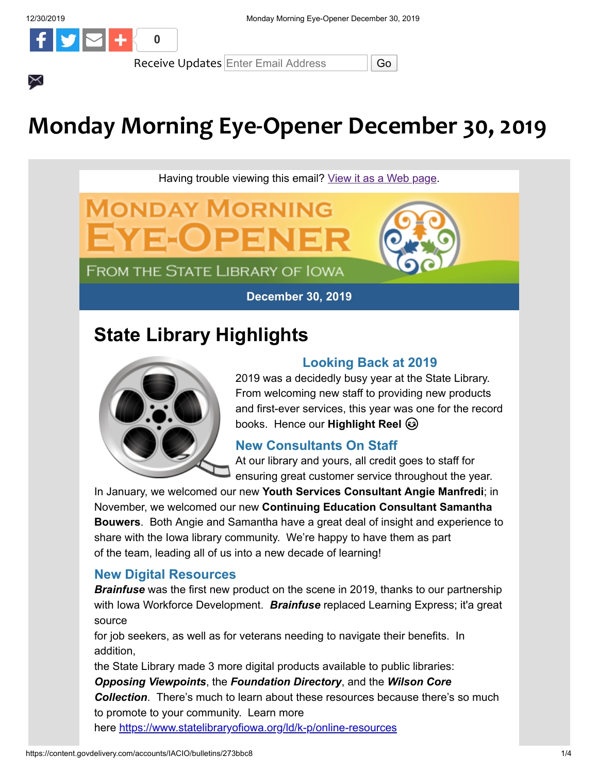$\times$ 



Receive Updates Enter Email Address | Go

# **Monday Morning Eye-Opener December 30, 2019**

Having trouble viewing this email? [View it as a Web page.](https://content.govdelivery.com/accounts/IACIO/bulletins/273bbc8)

**December 30, 2019**

# **State Library Highlights**

**MONDAY MORNING** 

**FROM THE STATE LIBRARY OF IOWA** 

ZELO E



## **Looking Back at 2019**

2019 was a decidedly busy year at the State Library. From welcoming new staff to providing new products and first-ever services, this year was one for the record books. Hence our **Highlight Reel** 

## **New Consultants On Staff**

At our library and yours, all credit goes to staff for ensuring great customer service throughout the year.

In January, we welcomed our new **Youth Services Consultant Angie Manfredi**; in November, we welcomed our new **Continuing Education Consultant Samantha Bouwers**. Both Angie and Samantha have a great deal of insight and experience to share with the Iowa library community. We're happy to have them as part of the team, leading all of us into a new decade of learning!

## **New Digital Resources**

*Brainfuse* was the first new product on the scene in 2019, thanks to our partnership with Iowa Workforce Development. *Brainfuse* replaced Learning Express; it'a great source

for job seekers, as well as for veterans needing to navigate their benefits. In addition,

the State Library made 3 more digital products available to public libraries:

*Opposing Viewpoints*, the *Foundation Directory*, and the *Wilson Core Collection*. There's much to learn about these resources because there's so much to promote to your community. Learn more here [https://www.statelibraryofiowa.org/ld/k-p/online-resources](https://www.statelibraryofiowa.org/ld/k-p/online-resources?utm_medium=email&utm_source=govdelivery)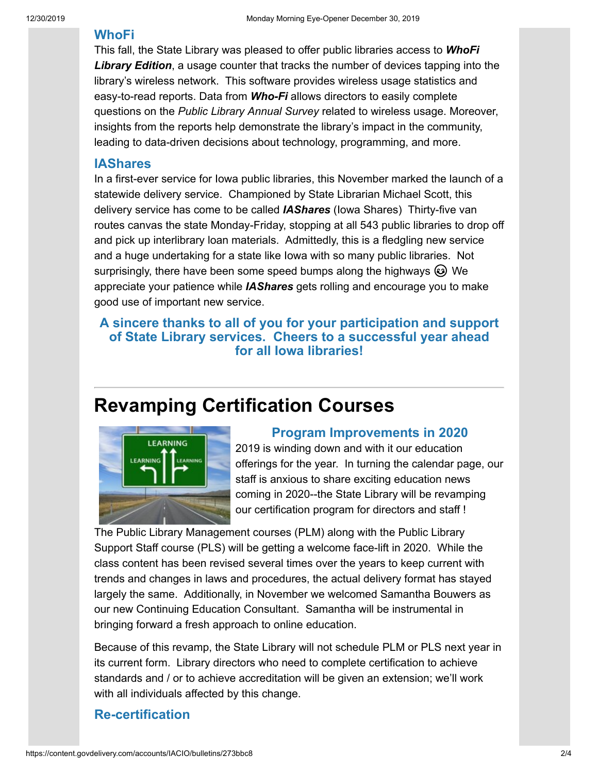#### **WhoFi**

This fall, the State Library was pleased to offer public libraries access to *WhoFi Library Edition*, a usage counter that tracks the number of devices tapping into the library's wireless network. This software provides wireless usage statistics and easy-to-read reports. Data from *Who-Fi* allows directors to easily complete questions on the *Public Library Annual Survey* related to wireless usage. Moreover, insights from the reports help demonstrate the library's impact in the community, leading to data-driven decisions about technology, programming, and more.

#### **IAShares**

In a first-ever service for Iowa public libraries, this November marked the launch of a statewide delivery service. Championed by State Librarian Michael Scott, this delivery service has come to be called *IAShares* (Iowa Shares) Thirty-five van routes canvas the state Monday-Friday, stopping at all 543 public libraries to drop off and pick up interlibrary loan materials. Admittedly, this is a fledgling new service and a huge undertaking for a state like Iowa with so many public libraries. Not surprisingly, there have been some speed bumps along the highways  $\circledast$  We appreciate your patience while *IAShares* gets rolling and encourage you to make good use of important new service.

#### **A sincere thanks to all of you for your participation and support of State Library services. Cheers to a successful year ahead for all Iowa libraries!**

# **Revamping Certification Courses**



#### **Program Improvements in 2020**

2019 is winding down and with it our education offerings for the year. In turning the calendar page, our staff is anxious to share exciting education news coming in 2020--the State Library will be revamping our certification program for directors and staff !

The Public Library Management courses (PLM) along with the Public Library Support Staff course (PLS) will be getting a welcome face-lift in 2020. While the class content has been revised several times over the years to keep current with trends and changes in laws and procedures, the actual delivery format has stayed largely the same. Additionally, in November we welcomed Samantha Bouwers as our new Continuing Education Consultant. Samantha will be instrumental in bringing forward a fresh approach to online education.

Because of this revamp, the State Library will not schedule PLM or PLS next year in its current form. Library directors who need to complete certification to achieve standards and / or to achieve accreditation will be given an extension; we'll work with all individuals affected by this change.

#### **Re-certification**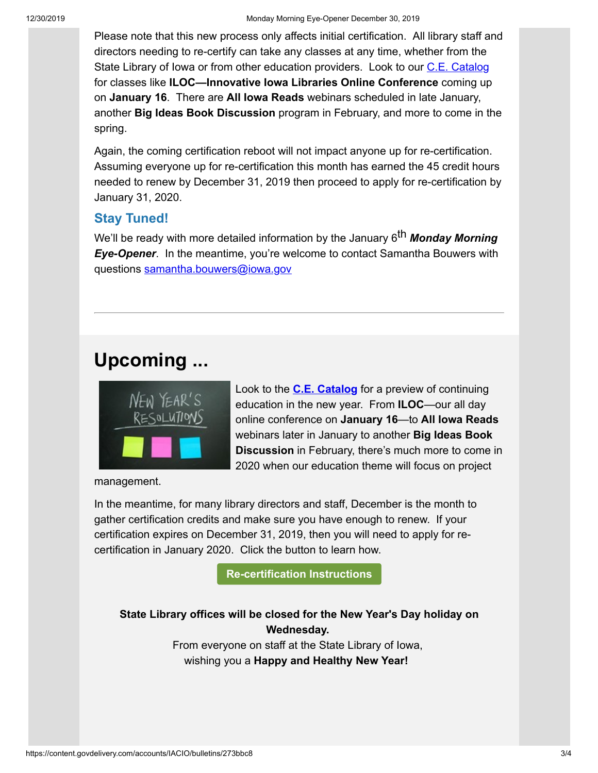Please note that this new process only affects initial certification. All library staff and directors needing to re-certify can take any classes at any time, whether from the State Library of Iowa or from other education providers. Look to our [C.E. Catalog](https://statelibraryofiowa.lmscheckout.com/Course/index?utm_medium=email&utm_source=govdelivery) for classes like **ILOC—Innovative Iowa Libraries Online Conference** coming up on **January 16**. There are **All Iowa Reads** webinars scheduled in late January, another **Big Ideas Book Discussion** program in February, and more to come in the spring.

Again, the coming certification reboot will not impact anyone up for re-certification. Assuming everyone up for re-certification this month has earned the 45 credit hours needed to renew by December 31, 2019 then proceed to apply for re-certification by January 31, 2020.

## **Stay Tuned!**

We'll be ready with more detailed information by the January 6<sup>th</sup> Monday Morning *Eye-Opener*. In the meantime, you're welcome to contact Samantha Bouwers with questions [samantha.bouwers@iowa.gov](mailto:samantha.bouwers@iowa.gov)

# **Upcoming ...**



Look to the **[C.E. Catalog](https://statelibraryofiowa.lmscheckout.com/Course/index?utm_medium=email&utm_source=govdelivery)** for a preview of continuing education in the new year. From **ILOC**—our all day online conference on **January 16**—to **All Iowa Reads** webinars later in January to another **Big Ideas Book Discussion** in February, there's much more to come in 2020 when our education theme will focus on project

management.

In the meantime, for many library directors and staff, December is the month to gather certification credits and make sure you have enough to renew. If your certification expires on December 31, 2019, then you will need to apply for recertification in January 2020. Click the button to learn how.

**[Re-certification Instructions](https://www.statelibraryofiowa.org/ld/c-d/cert?utm_medium=email&utm_source=govdelivery)**

**State Library offices will be closed for the New Year's Day holiday on Wednesday.**  From everyone on staff at the State Library of Iowa,

wishing you a **Happy and Healthy New Year!**